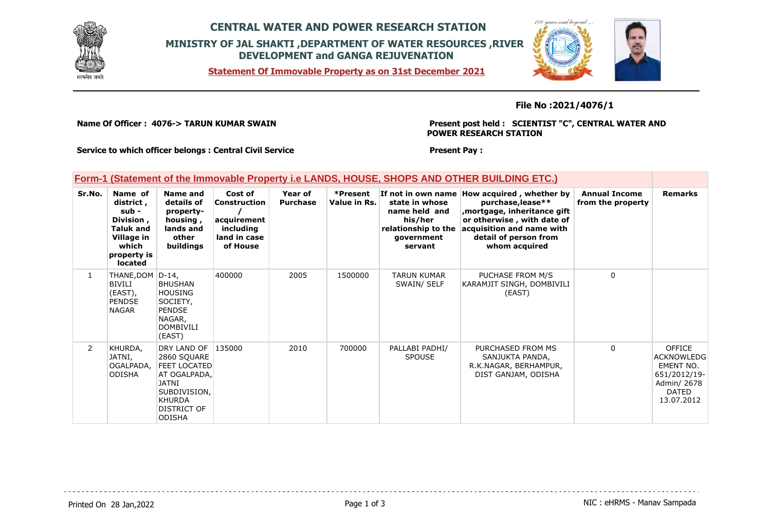

## **CENTRAL WATER AND POWER RESEARCH STATION MINISTRY OF JAL SHAKTI ,DEPARTMENT OF WATER RESOURCES ,RIVER DEVELOPMENT and GANGA REJUVENATION**





## **File No :2021/4076/1**

**Name Of Officer : 4076-> TARUN KUMAR SWAIN** 

**Present post held : SCIENTIST "C", CENTRAL WATER AND POWER RESEARCH STATION**

**Service to which officer belongs : Central Civil Service**

**Present Pay :** 

## **Form-1 (Statement of the Immovable Property i.e LANDS, HOUSE, SHOPS AND OTHER BUILDING ETC.)**

| Sr.No.         | Name of<br>district,<br>sub -<br>Division,<br><b>Taluk and</b><br>Village in<br>which<br>property is<br><b>located</b> | Name and<br>details of<br>property-<br>housing,<br>lands and<br>other<br>buildings                                                                 | Cost of<br>Construction<br>acquirement<br>including<br>land in case<br>of House | Year of<br><b>Purchase</b> | *Present<br>Value in Rs. | state in whose<br>name held and<br>his/her<br>relationship to the<br>government<br>servant | If not in own name How acquired, whether by<br>purchase, lease**<br>mortgage, inheritance gift<br>or otherwise, with date of<br>acquisition and name with<br>detail of person from<br>whom acquired | <b>Annual Income</b><br>from the property | <b>Remarks</b>                                                                                        |
|----------------|------------------------------------------------------------------------------------------------------------------------|----------------------------------------------------------------------------------------------------------------------------------------------------|---------------------------------------------------------------------------------|----------------------------|--------------------------|--------------------------------------------------------------------------------------------|-----------------------------------------------------------------------------------------------------------------------------------------------------------------------------------------------------|-------------------------------------------|-------------------------------------------------------------------------------------------------------|
| $\mathbf{1}$   | THANE, DOM   D-14,<br>BIVILI<br>(EAST),<br><b>PENDSE</b><br><b>NAGAR</b>                                               | <b>BHUSHAN</b><br><b>HOUSING</b><br>SOCIETY,<br><b>PENDSE</b><br>NAGAR,<br><b>DOMBIVILI</b><br>(EAST)                                              | 400000                                                                          | 2005                       | 1500000                  | <b>TARUN KUMAR</b><br>SWAIN/ SELF                                                          | PUCHASE FROM M/S<br>KARAMJIT SINGH, DOMBIVILI<br>(EAST)                                                                                                                                             | $\Omega$                                  |                                                                                                       |
| $\overline{2}$ | KHURDA,<br>JATNI,<br>OGALPADA,<br><b>ODISHA</b>                                                                        | DRY LAND OF<br>2860 SQUARE<br><b>FEET LOCATED</b><br>AT OGALPADA,<br><b>JATNI</b><br>SUBDIVISION,<br><b>KHURDA</b><br>DISTRICT OF<br><b>ODISHA</b> | 135000                                                                          | 2010                       | 700000                   | PALLABI PADHI/<br><b>SPOUSE</b>                                                            | PURCHASED FROM MS<br>SANJUKTA PANDA,<br>R.K.NAGAR, BERHAMPUR,<br>DIST GANJAM, ODISHA                                                                                                                | $\Omega$                                  | <b>OFFICE</b><br><b>ACKNOWLEDG</b><br>EMENT NO.<br>651/2012/19-<br>Admin/ 2678<br>DATED<br>13.07.2012 |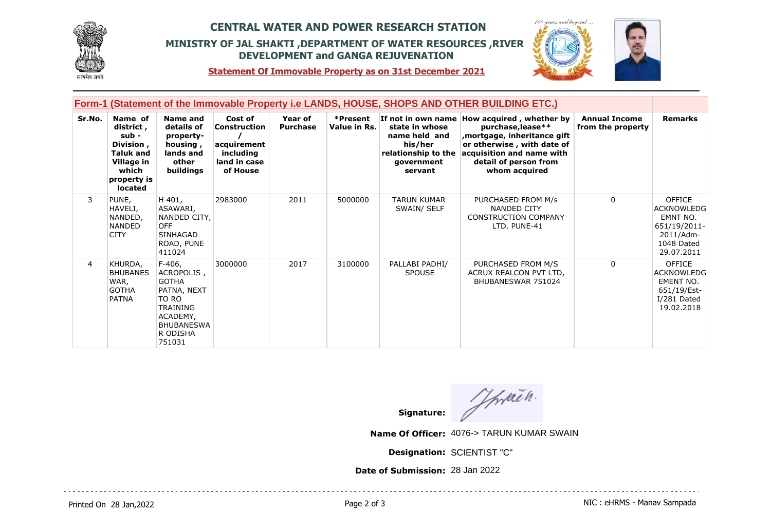

## **CENTRAL WATER AND POWER RESEARCH STATION MINISTRY OF JAL SHAKTI ,DEPARTMENT OF WATER RESOURCES ,RIVER DEVELOPMENT and GANGA REJUVENATION**



**Statement Of Immovable Property as on 31st December 2021**

|                | Form-1 (Statement of the Immovable Property i.e LANDS, HOUSE, SHOPS AND OTHER BUILDING ETC.)                           |                                                                                                                                 |                                                                                        |                            |                          |                                                                                            |                                                                                                                                                                                                      |                                           |                                                                                                         |  |
|----------------|------------------------------------------------------------------------------------------------------------------------|---------------------------------------------------------------------------------------------------------------------------------|----------------------------------------------------------------------------------------|----------------------------|--------------------------|--------------------------------------------------------------------------------------------|------------------------------------------------------------------------------------------------------------------------------------------------------------------------------------------------------|-------------------------------------------|---------------------------------------------------------------------------------------------------------|--|
| Sr.No.         | Name of<br>district,<br>sub -<br>Division,<br><b>Taluk and</b><br>Village in<br>which<br>property is<br><b>located</b> | Name and<br>details of<br>property-<br>housing,<br>lands and<br>other<br>buildings                                              | Cost of<br><b>Construction</b><br>acquirement<br>including<br>land in case<br>of House | Year of<br><b>Purchase</b> | *Present<br>Value in Rs. | state in whose<br>name held and<br>his/her<br>relationship to the<br>qovernment<br>servant | If not in own name How acquired, whether by<br>purchase, lease**<br>mortgage, inheritance gift,<br>or otherwise, with date of<br>acquisition and name with<br>detail of person from<br>whom acquired | <b>Annual Income</b><br>from the property | <b>Remarks</b>                                                                                          |  |
| 3              | PUNE,<br>HAVELI,<br>NANDED,<br><b>NANDED</b><br><b>CITY</b>                                                            | H 401,<br>ASAWARI,<br>NANDED CITY,<br><b>OFF</b><br><b>SINHAGAD</b><br>ROAD, PUNE<br>411024                                     | 2983000                                                                                | 2011                       | 5000000                  | <b>TARUN KUMAR</b><br>SWAIN/ SELF                                                          | PURCHASED FROM M/s<br>NANDED CITY<br><b>CONSTRUCTION COMPANY</b><br>LTD. PUNE-41                                                                                                                     | $\Omega$                                  | <b>OFFICE</b><br><b>ACKNOWLEDG</b><br>EMNT NO.<br>651/19/2011-<br>2011/Adm-<br>1048 Dated<br>29.07.2011 |  |
| $\overline{4}$ | KHURDA,<br><b>BHUBANES</b><br>WAR,<br><b>GOTHA</b><br><b>PATNA</b>                                                     | F-406,<br>ACROPOLIS,<br><b>GOTHA</b><br>PATNA, NEXT<br>TO RO<br>TRAINING<br>ACADEMY,<br><b>BHUBANESWA</b><br>R ODISHA<br>751031 | 3000000                                                                                | 2017                       | 3100000                  | PALLABI PADHI/<br><b>SPOUSE</b>                                                            | PURCHASED FROM M/S<br>ACRUX REALCON PVT LTD,<br>BHUBANESWAR 751024                                                                                                                                   | $\mathbf{0}$                              | <b>OFFICE</b><br><b>ACKNOWLEDG</b><br><b>EMENT NO.</b><br>651/19/Est-<br>I/281 Dated<br>19.02.2018      |  |

Thrach. **Signature:**

**Name Of Officer:** 4076-> TARUN KUMAR SWAIN

**Designation:** SCIENTIST "C"

**Date of Submission:** 28 Jan 2022